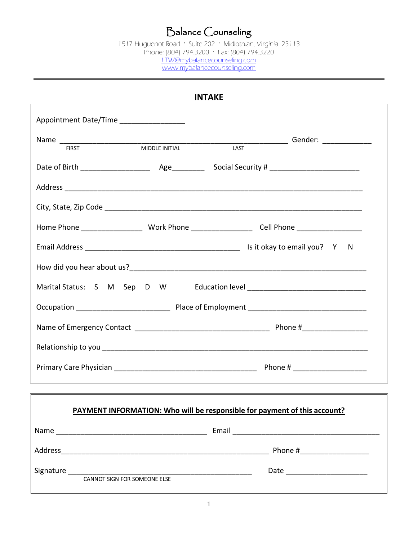## Balance Counseling

1517 Huguenot Road · Suite 202 · Midlothian, Virginia 23113 Phone: (804) 794.3200 · Fax: (804) 794.3220 [LTW@mybalancecounseling.com](mailto:LTW@mybalancecounseling.com) [www.mybalancecounseling.com](http://www.mybalancecounseling.com/)

| <b>INTAKE</b>                                                             |  |  |  |  |  |
|---------------------------------------------------------------------------|--|--|--|--|--|
| Appointment Date/Time __________________                                  |  |  |  |  |  |
|                                                                           |  |  |  |  |  |
|                                                                           |  |  |  |  |  |
|                                                                           |  |  |  |  |  |
|                                                                           |  |  |  |  |  |
|                                                                           |  |  |  |  |  |
|                                                                           |  |  |  |  |  |
|                                                                           |  |  |  |  |  |
|                                                                           |  |  |  |  |  |
|                                                                           |  |  |  |  |  |
|                                                                           |  |  |  |  |  |
|                                                                           |  |  |  |  |  |
|                                                                           |  |  |  |  |  |
|                                                                           |  |  |  |  |  |
|                                                                           |  |  |  |  |  |
| PAYMENT INFORMATION: Who will be responsible for payment of this account? |  |  |  |  |  |
|                                                                           |  |  |  |  |  |
|                                                                           |  |  |  |  |  |
|                                                                           |  |  |  |  |  |
|                                                                           |  |  |  |  |  |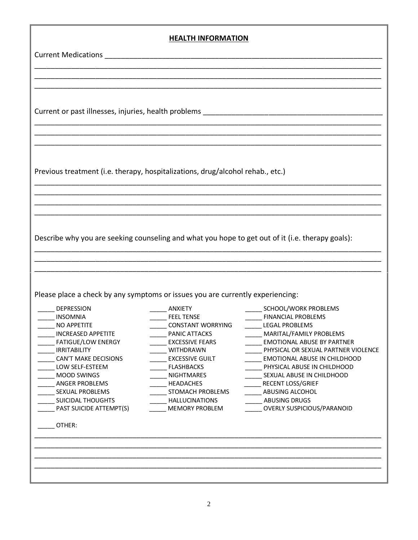\_\_\_\_\_\_\_\_\_\_\_\_\_\_\_\_\_\_\_\_\_\_\_\_\_\_\_\_\_\_\_\_\_\_\_\_\_\_\_\_\_\_\_\_\_\_\_\_\_\_\_\_\_\_\_\_\_\_\_\_\_\_\_\_\_\_\_\_\_\_\_\_\_\_\_\_\_\_\_\_\_\_\_\_\_

\_\_\_\_\_\_\_\_\_\_\_\_\_\_\_\_\_\_\_\_\_\_\_\_\_\_\_\_\_\_\_\_\_\_\_\_\_\_\_\_\_\_\_\_\_\_\_\_\_\_\_\_\_\_\_\_\_\_\_\_\_\_\_\_\_\_\_\_\_\_\_\_\_\_\_\_\_\_\_\_\_\_\_\_\_ \_\_\_\_\_\_\_\_\_\_\_\_\_\_\_\_\_\_\_\_\_\_\_\_\_\_\_\_\_\_\_\_\_\_\_\_\_\_\_\_\_\_\_\_\_\_\_\_\_\_\_\_\_\_\_\_\_\_\_\_\_\_\_\_\_\_\_\_\_\_\_\_\_\_\_\_\_\_\_\_\_\_\_\_\_

\_\_\_\_\_\_\_\_\_\_\_\_\_\_\_\_\_\_\_\_\_\_\_\_\_\_\_\_\_\_\_\_\_\_\_\_\_\_\_\_\_\_\_\_\_\_\_\_\_\_\_\_\_\_\_\_\_\_\_\_\_\_\_\_\_\_\_\_\_\_\_\_\_\_\_\_\_\_\_\_\_\_\_\_\_ \_\_\_\_\_\_\_\_\_\_\_\_\_\_\_\_\_\_\_\_\_\_\_\_\_\_\_\_\_\_\_\_\_\_\_\_\_\_\_\_\_\_\_\_\_\_\_\_\_\_\_\_\_\_\_\_\_\_\_\_\_\_\_\_\_\_\_\_\_\_\_\_\_\_\_\_\_\_\_\_\_\_\_\_\_

\_\_\_\_\_\_\_\_\_\_\_\_\_\_\_\_\_\_\_\_\_\_\_\_\_\_\_\_\_\_\_\_\_\_\_\_\_\_\_\_\_\_\_\_\_\_\_\_\_\_\_\_\_\_\_\_\_\_\_\_\_\_\_\_\_\_\_\_\_\_\_\_\_\_\_\_\_\_\_\_\_\_\_\_\_

\_\_\_\_\_\_\_\_\_\_\_\_\_\_\_\_\_\_\_\_\_\_\_\_\_\_\_\_\_\_\_\_\_\_\_\_\_\_\_\_\_\_\_\_\_\_\_\_\_\_\_\_\_\_\_\_\_\_\_\_\_\_\_\_\_\_\_\_\_\_\_\_\_\_\_\_\_\_\_\_\_\_\_\_\_ \_\_\_\_\_\_\_\_\_\_\_\_\_\_\_\_\_\_\_\_\_\_\_\_\_\_\_\_\_\_\_\_\_\_\_\_\_\_\_\_\_\_\_\_\_\_\_\_\_\_\_\_\_\_\_\_\_\_\_\_\_\_\_\_\_\_\_\_\_\_\_\_\_\_\_\_\_\_\_\_\_\_\_\_\_ \_\_\_\_\_\_\_\_\_\_\_\_\_\_\_\_\_\_\_\_\_\_\_\_\_\_\_\_\_\_\_\_\_\_\_\_\_\_\_\_\_\_\_\_\_\_\_\_\_\_\_\_\_\_\_\_\_\_\_\_\_\_\_\_\_\_\_\_\_\_\_\_\_\_\_\_\_\_\_\_\_\_\_\_\_

\_\_\_\_\_\_\_\_\_\_\_\_\_\_\_\_\_\_\_\_\_\_\_\_\_\_\_\_\_\_\_\_\_\_\_\_\_\_\_\_\_\_\_\_\_\_\_\_\_\_\_\_\_\_\_\_\_\_\_\_\_\_\_\_\_\_\_\_\_\_\_\_\_\_\_\_\_\_\_\_\_\_\_\_\_

\_\_\_\_\_\_\_\_\_\_\_\_\_\_\_\_\_\_\_\_\_\_\_\_\_\_\_\_\_\_\_\_\_\_\_\_\_\_\_\_\_\_\_\_\_\_\_\_\_\_\_\_\_\_\_\_\_\_\_\_\_\_\_\_\_\_\_\_\_\_\_\_\_\_\_\_\_\_\_\_\_\_\_\_\_

Current Medications **Exercise 20** 

Current or past illnesses, injuries, health problems \_\_\_\_\_\_\_\_\_\_\_\_\_\_\_\_\_\_\_\_\_\_\_\_\_\_\_\_

Previous treatment (i.e. therapy, hospitalizations, drug/alcohol rehab., etc.)

Describe why you are seeking counseling and what you hope to get out of it (i.e. therapy goals):

Please place a check by any symptoms or issues you are currently experiencing:

| <b>DEPRESSION</b>         | <b>ANXIETY</b>           | SCHOOL/WORK PROBLEMS                |
|---------------------------|--------------------------|-------------------------------------|
| <b>INSOMNIA</b>           | <b>FEEL TENSE</b>        | <b>FINANCIAL PROBLEMS</b>           |
| NO APPETITE               | <b>CONSTANT WORRYING</b> | <b>LEGAL PROBLEMS</b>               |
| <b>INCREASED APPETITE</b> | <b>PANIC ATTACKS</b>     | MARITAL/FAMILY PROBLEMS             |
| <b>FATIGUE/LOW ENERGY</b> | <b>EXCESSIVE FEARS</b>   | <b>EMOTIONAL ABUSE BY PARTNER</b>   |
| <b>IRRITABILITY</b>       | <b>WITHDRAWN</b>         | PHYSICAL OR SEXUAL PARTNER VIOLENCE |
| CAN'T MAKE DECISIONS      | <b>EXCESSIVE GUILT</b>   | EMOTIONAL ABUSE IN CHILDHOOD        |
| LOW SELF-ESTEEM           | <b>FLASHBACKS</b>        | PHYSICAL ABUSE IN CHILDHOOD         |
| <b>MOOD SWINGS</b>        | <b>NIGHTMARES</b>        | SEXUAL ABUSE IN CHILDHOOD           |
| <b>ANGER PROBLEMS</b>     | <b>HEADACHES</b>         | <b>RECENT LOSS/GRIEF</b>            |
| <b>SEXUAL PROBLEMS</b>    | <b>STOMACH PROBLEMS</b>  | <b>ABUSING ALCOHOL</b>              |
| SUICIDAL THOUGHTS         | <b>HALLUCINATIONS</b>    | <b>ABUSING DRUGS</b>                |
| PAST SUICIDE ATTEMPT(S)   | <b>MEMORY PROBLEM</b>    | OVERLY SUSPICIOUS/PARANOID          |
| OTHER:                    |                          |                                     |
|                           |                          |                                     |
|                           |                          |                                     |
|                           |                          |                                     |
|                           |                          |                                     |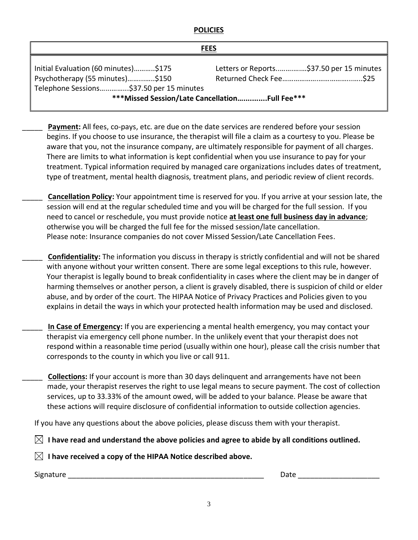## **POLICIES**

| <b>FEES</b>                                                                                                                                                             |                                          |  |  |  |
|-------------------------------------------------------------------------------------------------------------------------------------------------------------------------|------------------------------------------|--|--|--|
| Initial Evaluation (60 minutes)\$175<br>Psychotherapy (55 minutes)\$150<br>Telephone Sessions\$37.50 per 15 minutes<br>*** Missed Session/Late Cancellation Full Fee*** | Letters or Reports\$37.50 per 15 minutes |  |  |  |

Payment: All fees, co-pays, etc. are due on the date services are rendered before your session begins. If you choose to use insurance, the therapist will file a claim as a courtesy to you. Please be aware that you, not the insurance company, are ultimately responsible for payment of all charges. There are limits to what information is kept confidential when you use insurance to pay for your treatment. Typical information required by managed care organizations includes dates of treatment, type of treatment, mental health diagnosis, treatment plans, and periodic review of client records.

\_\_\_\_\_ **Cancellation Policy:** Your appointment time is reserved for you. If you arrive at your session late, the session will end at the regular scheduled time and you will be charged for the full session. If you need to cancel or reschedule, you must provide notice **at least one full business day in advance**; otherwise you will be charged the full fee for the missed session/late cancellation. Please note: Insurance companies do not cover Missed Session/Late Cancellation Fees.

\_\_\_\_\_ **Confidentiality:** The information you discuss in therapy is strictly confidential and will not be shared with anyone without your written consent. There are some legal exceptions to this rule, however. Your therapist is legally bound to break confidentiality in cases where the client may be in danger of harming themselves or another person, a client is gravely disabled, there is suspicion of child or elder abuse, and by order of the court. The HIPAA Notice of Privacy Practices and Policies given to you explains in detail the ways in which your protected health information may be used and disclosed.

\_\_\_\_\_ **In Case of Emergency:** If you are experiencing a mental health emergency, you may contact your therapist via emergency cell phone number. In the unlikely event that your therapist does not respond within a reasonable time period (usually within one hour), please call the crisis number that corresponds to the county in which you live or call 911.

\_\_\_\_\_ **Collections:** If your account is more than 30 days delinquent and arrangements have not been made, your therapist reserves the right to use legal means to secure payment. The cost of collection services, up to 33.33% of the amount owed, will be added to your balance. Please be aware that these actions will require disclosure of confidential information to outside collection agencies.

If you have any questions about the above policies, please discuss them with your therapist.

 $\boxtimes$  I have read and understand the above policies and agree to abide by all conditions outlined.

 $\boxtimes$  I have received a copy of the HIPAA Notice described above.

Signature \_\_\_\_\_\_\_\_\_\_\_\_\_\_\_\_\_\_\_\_\_\_\_\_\_\_\_\_\_\_\_\_\_\_\_\_\_\_\_\_\_\_\_\_\_\_\_\_ Date \_\_\_\_\_\_\_\_\_\_\_\_\_\_\_\_\_\_\_\_